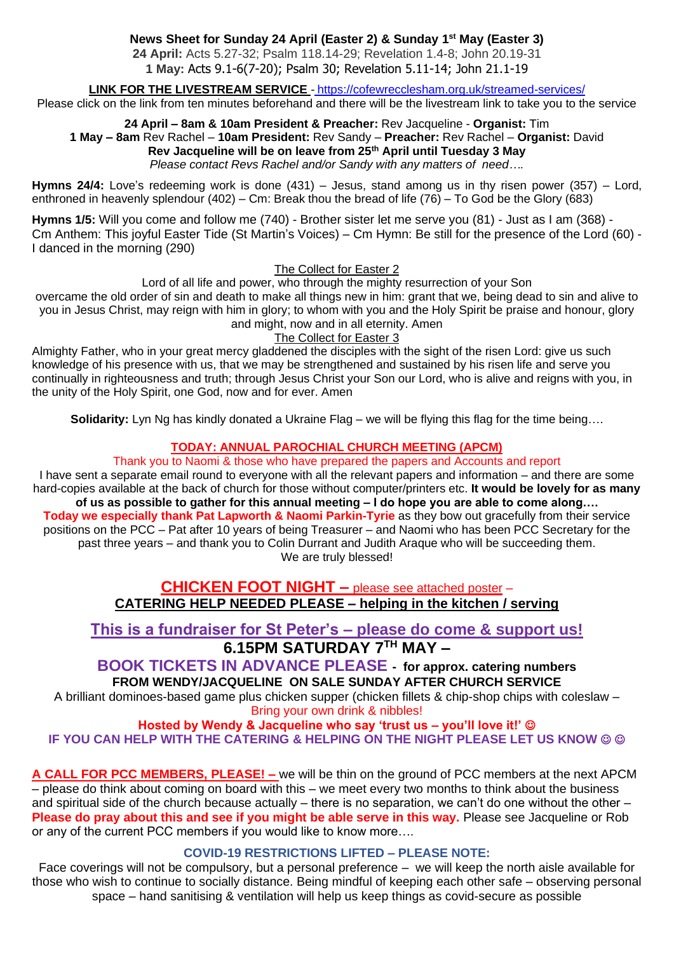# **News Sheet for Sunday 24 April (Easter 2) & Sunday 1st May (Easter 3)**

**24 April:** Acts 5.27-32; Psalm 118.14-29; Revelation 1.4-8; John 20.19-31 **1 May:** Acts 9.1-6(7-20); Psalm 30; Revelation 5.11-14; John 21.1-19

#### **LINK FOR THE LIVESTREAM SERVICE** - <https://cofewrecclesham.org.uk/streamed-services/>

Please click on the link from ten minutes beforehand and there will be the livestream link to take you to the service

#### **24 April – 8am & 10am President & Preacher:** Rev Jacqueline - **Organist:** Tim **1 May – 8am** Rev Rachel – **10am President:** Rev Sandy – **Preacher:** Rev Rachel – **Organist:** David **Rev Jacqueline will be on leave from 25th April until Tuesday 3 May** *Please contact Revs Rachel and/or Sandy with any matters of need….*

**Hymns 24/4:** Love's redeeming work is done (431) – Jesus, stand among us in thy risen power (357) – Lord, enthroned in heavenly splendour (402) – Cm: Break thou the bread of life (76) – To God be the Glory (683)

**Hymns 1/5:** Will you come and follow me (740) - Brother sister let me serve you (81) - Just as I am (368) - Cm Anthem: This joyful Easter Tide (St Martin's Voices) – Cm Hymn: Be still for the presence of the Lord (60) - I danced in the morning (290)

The Collect for Easter 2

Lord of all life and power, who through the mighty resurrection of your Son overcame the old order of sin and death to make all things new in him: grant that we, being dead to sin and alive to you in Jesus Christ, may reign with him in glory; to whom with you and the Holy Spirit be praise and honour, glory and might, now and in all eternity. Amen

The Collect for Easter 3

Almighty Father, who in your great mercy gladdened the disciples with the sight of the risen Lord: give us such knowledge of his presence with us, that we may be strengthened and sustained by his risen life and serve you continually in righteousness and truth; through Jesus Christ your Son our Lord, who is alive and reigns with you, in the unity of the Holy Spirit, one God, now and for ever. Amen

**Solidarity:** Lyn Ng has kindly donated a Ukraine Flag – we will be flying this flag for the time being….

# **TODAY: ANNUAL PAROCHIAL CHURCH MEETING (APCM)**

#### Thank you to Naomi & those who have prepared the papers and Accounts and report

I have sent a separate email round to everyone with all the relevant papers and information – and there are some hard-copies available at the back of church for those without computer/printers etc. **It would be lovely for as many of us as possible to gather for this annual meeting – I do hope you are able to come along…. Today we especially thank Pat Lapworth & Naomi Parkin-Tyrie** as they bow out gracefully from their service positions on the PCC – Pat after 10 years of being Treasurer – and Naomi who has been PCC Secretary for the past three years – and thank you to Colin Durrant and Judith Araque who will be succeeding them. We are truly blessed!

> **CHICKEN FOOT NIGHT –** please see attached poster – **CATERING HELP NEEDED PLEASE – helping in the kitchen / serving**

# **This is a fundraiser for St Peter's – please do come & support us! 6.15PM SATURDAY 7TH MAY –**

**BOOK TICKETS IN ADVANCE PLEASE - for approx. catering numbers FROM WENDY/JACQUELINE ON SALE SUNDAY AFTER CHURCH SERVICE**

A brilliant dominoes-based game plus chicken supper (chicken fillets & chip-shop chips with coleslaw – Bring your own drink & nibbles!

**Hosted by Wendy & Jacqueline who say 'trust us – you'll love it!'** ☺ **IF YOU CAN HELP WITH THE CATERING & HELPING ON THE NIGHT PLEASE LET US KNOW © ©** 

**A CALL FOR PCC MEMBERS, PLEASE! –** we will be thin on the ground of PCC members at the next APCM – please do think about coming on board with this – we meet every two months to think about the business and spiritual side of the church because actually – there is no separation, we can't do one without the other  $-$ **Please do pray about this and see if you might be able serve in this way.** Please see Jacqueline or Rob or any of the current PCC members if you would like to know more….

#### **COVID-19 RESTRICTIONS LIFTED – PLEASE NOTE:**

Face coverings will not be compulsory, but a personal preference – we will keep the north aisle available for those who wish to continue to socially distance. Being mindful of keeping each other safe – observing personal space – hand sanitising & ventilation will help us keep things as covid-secure as possible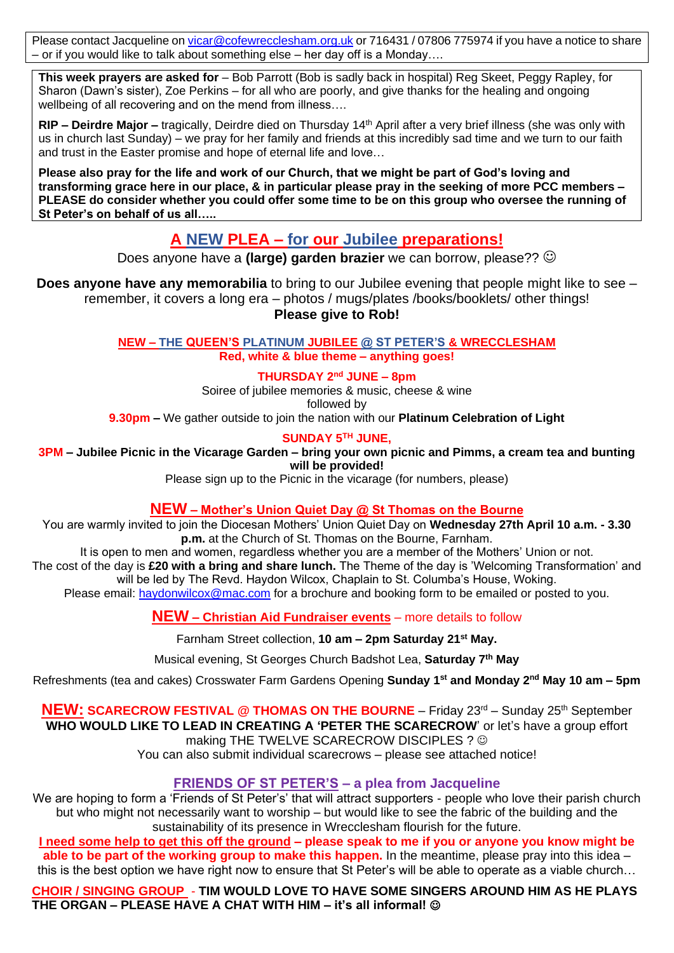Please contact Jacqueline on [vicar@cofewrecclesham.org.uk](mailto:vicar@cofewrecclesham.org.uk) or 716431 / 07806 775974 if you have a notice to share – or if you would like to talk about something else – her day off is a Monday….

**This week prayers are asked for** – Bob Parrott (Bob is sadly back in hospital) Reg Skeet, Peggy Rapley, for Sharon (Dawn's sister), Zoe Perkins – for all who are poorly, and give thanks for the healing and ongoing wellbeing of all recovering and on the mend from illness….

**RIP – Deirdre Major –** tragically, Deirdre died on Thursday 14<sup>th</sup> April after a very brief illness (she was only with us in church last Sunday) – we pray for her family and friends at this incredibly sad time and we turn to our faith and trust in the Easter promise and hope of eternal life and love…

**Please also pray for the life and work of our Church, that we might be part of God's loving and transforming grace here in our place, & in particular please pray in the seeking of more PCC members – PLEASE do consider whether you could offer some time to be on this group who oversee the running of St Peter's on behalf of us all…..**

# **A NEW PLEA – for our Jubilee preparations!**

Does anyone have a **(large) garden brazier** we can borrow, please?? ☺

**Does anyone have any memorabilia** to bring to our Jubilee evening that people might like to see – remember, it covers a long era – photos / mugs/plates /books/booklets/ other things! **Please give to Rob!**

> **NEW – THE QUEEN'S PLATINUM JUBILEE @ ST PETER'S & WRECCLESHAM Red, white & blue theme – anything goes!**

# **THURSDAY 2nd JUNE – 8pm**

Soiree of jubilee memories & music, cheese & wine followed by **9.30pm –** We gather outside to join the nation with our **Platinum Celebration of Light** 

# **SUNDAY 5TH JUNE,**

**3PM – Jubilee Picnic in the Vicarage Garden – bring your own picnic and Pimms, a cream tea and bunting will be provided!**

Please sign up to the Picnic in the vicarage (for numbers, please)

# **NEW – Mother's Union Quiet Day @ St Thomas on the Bourne**

You are warmly invited to join the Diocesan Mothers' Union Quiet Day on **Wednesday 27th April 10 a.m. - 3.30 p.m.** at the Church of St. Thomas on the Bourne, Farnham.

It is open to men and women, regardless whether you are a member of the Mothers' Union or not. The cost of the day is **£20 with a bring and share lunch.** The Theme of the day is 'Welcoming Transformation' and will be led by The Revd. Haydon Wilcox, Chaplain to St. Columba's House, Woking. Please email: [haydonwilcox@mac.com](mailto:haydonwilcox@mac.com) for a brochure and booking form to be emailed or posted to you.

**NEW – Christian Aid Fundraiser events** – more details to follow

Farnham Street collection, **10 am – 2pm Saturday 21st May.**

Musical evening, St Georges Church Badshot Lea, **Saturday 7th May**

Refreshments (tea and cakes) Crosswater Farm Gardens Opening **Sunday 1st and Monday 2nd May 10 am – 5pm**

**NEW: SCARECROW FESTIVAL @ THOMAS ON THE BOURNE** – Friday 23<sup>rd</sup> – Sunday 25<sup>th</sup> September **WHO WOULD LIKE TO LEAD IN CREATING A 'PETER THE SCARECROW**' or let's have a group effort making THE TWELVE SCARECROW DISCIPLES ?  $\odot$ You can also submit individual scarecrows – please see attached notice!

# **FRIENDS OF ST PETER'S – a plea from Jacqueline**

We are hoping to form a 'Friends of St Peter's' that will attract supporters - people who love their parish church but who might not necessarily want to worship – but would like to see the fabric of the building and the sustainability of its presence in Wrecclesham flourish for the future.

**I need some help to get this off the ground – please speak to me if you or anyone you know might be able to be part of the working group to make this happen.** In the meantime, please pray into this idea – this is the best option we have right now to ensure that St Peter's will be able to operate as a viable church…

**CHOIR / SINGING GROUP** - **TIM WOULD LOVE TO HAVE SOME SINGERS AROUND HIM AS HE PLAYS THE ORGAN – PLEASE HAVE A CHAT WITH HIM – it's all informal!** ☺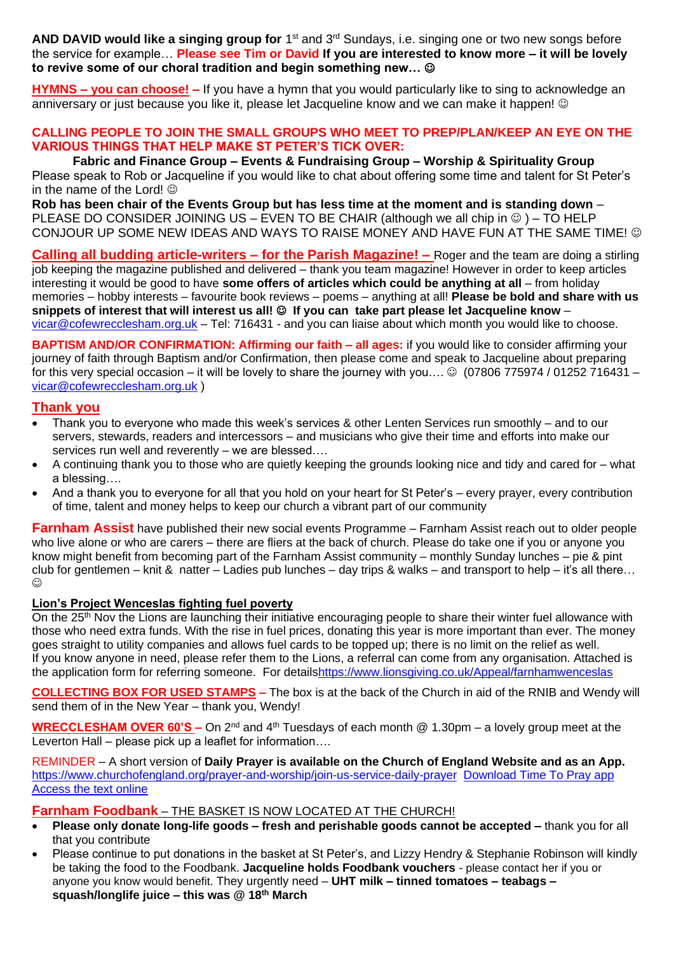AND DAVID would like a singing group for 1<sup>st</sup> and 3<sup>rd</sup> Sundays, i.e. singing one or two new songs before the service for example… **Please see Tim or David If you are interested to know more – it will be lovely to revive some of our choral tradition and begin something new…** ☺

**HYMNS – you can choose! –** If you have a hymn that you would particularly like to sing to acknowledge an anniversary or just because you like it, please let Jacqueline know and we can make it happen! ©

### **CALLING PEOPLE TO JOIN THE SMALL GROUPS WHO MEET TO PREP/PLAN/KEEP AN EYE ON THE VARIOUS THINGS THAT HELP MAKE ST PETER'S TICK OVER:**

**Fabric and Finance Group – Events & Fundraising Group – Worship & Spirituality Group** Please speak to Rob or Jacqueline if you would like to chat about offering some time and talent for St Peter's in the name of the Lord!  $\odot$ 

**Rob has been chair of the Events Group but has less time at the moment and is standing down** – PLEASE DO CONSIDER JOINING US – EVEN TO BE CHAIR (although we all chip in  $\circledcirc$ ) – TO HELP CONJOUR UP SOME NEW IDEAS AND WAYS TO RAISE MONEY AND HAVE FUN AT THE SAME TIME! ©

**Calling all budding article-writers – for the Parish Magazine! –** Roger and the team are doing a stirling job keeping the magazine published and delivered – thank you team magazine! However in order to keep articles interesting it would be good to have **some offers of articles which could be anything at all** – from holiday memories – hobby interests – favourite book reviews – poems – anything at all! **Please be bold and share with us snippets of interest that will interest us all!** ☺ **If you can take part please let Jacqueline know** – [vicar@cofewrecclesham.org.uk](mailto:vicar@cofewrecclesham.org.uk) – Tel: 716431 - and you can liaise about which month you would like to choose.

**BAPTISM AND/OR CONFIRMATION: Affirming our faith – all ages:** if you would like to consider affirming your journey of faith through Baptism and/or Confirmation, then please come and speak to Jacqueline about preparing for this very special occasion – it will be lovely to share the journey with you....  $\odot$  (07806 775974 / 01252 716431 – [vicar@cofewrecclesham.org.uk](mailto:vicar@cofewrecclesham.org.uk) )

# **Thank you**

- Thank you to everyone who made this week's services & other Lenten Services run smoothly and to our servers, stewards, readers and intercessors – and musicians who give their time and efforts into make our services run well and reverently – we are blessed....
- A continuing thank you to those who are quietly keeping the grounds looking nice and tidy and cared for what a blessing….
- And a thank you to everyone for all that you hold on your heart for St Peter's every prayer, every contribution of time, talent and money helps to keep our church a vibrant part of our community

**Farnham Assist** have published their new social events Programme – Farnham Assist reach out to older people who live alone or who are carers – there are fliers at the back of church. Please do take one if you or anyone you know might benefit from becoming part of the Farnham Assist community – monthly Sunday lunches – pie & pint club for gentlemen – knit & natter – Ladies pub lunches – day trips & walks – and transport to help – it's all there...  $\odot$ 

#### **Lion's Project Wenceslas fighting fuel poverty**

On the 25<sup>th</sup> Nov the Lions are launching their initiative encouraging people to share their winter fuel allowance with those who need extra funds. With the rise in fuel prices, donating this year is more important than ever. The money goes straight to utility companies and allows fuel cards to be topped up; there is no limit on the relief as well. If you know anyone in need, please refer them to the Lions, a referral can come from any organisation. Attached is the application form for referring someone. For detail[shttps://www.lionsgiving.co.uk/Appeal/farnhamwenceslas](https://www.lionsgiving.co.uk/Appeal/farnhamwenceslas)

**COLLECTING BOX FOR USED STAMPS –** The box is at the back of the Church in aid of the RNIB and Wendy will send them of in the New Year – thank you, Wendy!

**WRECCLESHAM OVER 60'S –** On 2nd and 4th Tuesdays of each month @ 1.30pm – a lovely group meet at the Leverton Hall – please pick up a leaflet for information....

REMINDER – A short version of **Daily Prayer is available on the Church of England Website and as an App.** <https://www.churchofengland.org/prayer-and-worship/join-us-service-daily-prayer> [Download Time To Pray app](https://www.chpublishing.co.uk/apps/time-to-pray)  [Access the text online](https://www.churchofengland.org/prayer-and-worship/join-us-in-daily-prayer/prayer-during-day-contemporary-Saturday-30-January-2021)

#### **Farnham Foodbank** – THE BASKET IS NOW LOCATED AT THE CHURCH!

- **Please only donate long-life goods – fresh and perishable goods cannot be accepted –** thank you for all that you contribute
- Please continue to put donations in the basket at St Peter's, and Lizzy Hendry & Stephanie Robinson will kindly be taking the food to the Foodbank. **Jacqueline holds Foodbank vouchers** - please contact her if you or anyone you know would benefit. They urgently need – **UHT milk – tinned tomatoes – teabags – squash/longlife juice – this was @ 18 th March**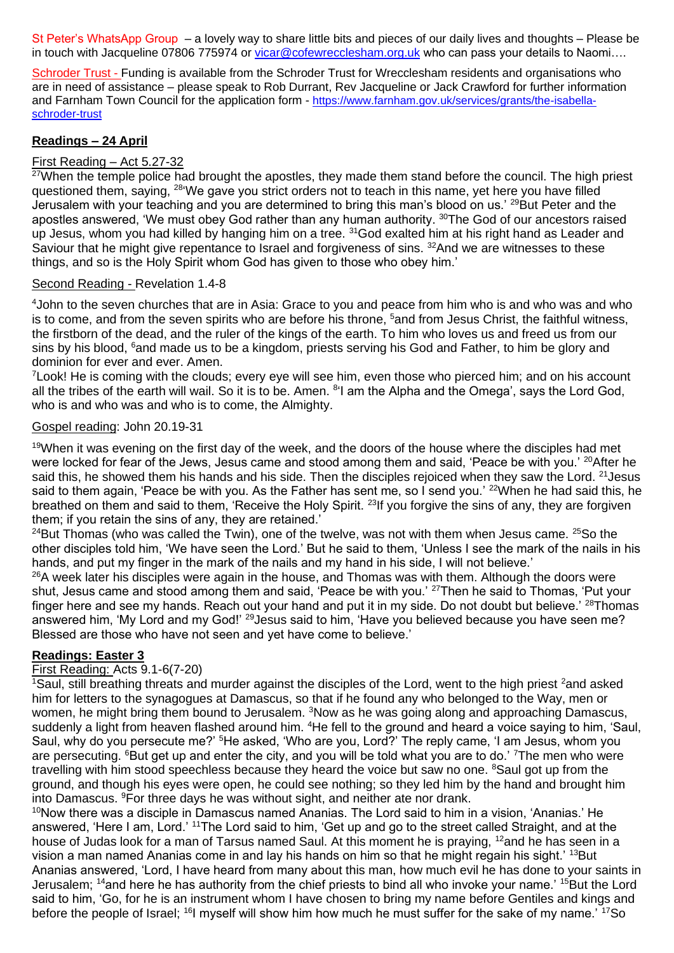St Peter's WhatsApp Group – a lovely way to share little bits and pieces of our daily lives and thoughts – Please be in touch with Jacqueline 07806 775974 or [vicar@cofewrecclesham.org.uk](mailto:vicar@cofewrecclesham.org.uk) who can pass your details to Naomi....

Schroder Trust - Funding is available from the Schroder Trust for Wrecclesham residents and organisations who are in need of assistance – please speak to Rob Durrant, Rev Jacqueline or Jack Crawford for further information and Farnham Town Council for the application form - [https://www.farnham.gov.uk/services/grants/the-isabella](https://www.farnham.gov.uk/services/grants/the-isabella-schroder-trust)[schroder-trust](https://www.farnham.gov.uk/services/grants/the-isabella-schroder-trust)

### **Readings – 24 April**

# First Reading – Act 5.27-32

 $27$ When the temple police had brought the apostles, they made them stand before the council. The high priest questioned them, saying, <sup>28'</sup>We gave you strict orders not to teach in this name, yet here you have filled Jerusalem with your teaching and you are determined to bring this man's blood on us.' <sup>29</sup>But Peter and the apostles answered, 'We must obey God rather than any human authority. <sup>30</sup>The God of our ancestors raised up Jesus, whom you had killed by hanging him on a tree. <sup>31</sup>God exalted him at his right hand as Leader and Saviour that he might give repentance to Israel and forgiveness of sins. <sup>32</sup>And we are witnesses to these things, and so is the Holy Spirit whom God has given to those who obey him.'

#### Second Reading - Revelation 1.4-8

<sup>4</sup>John to the seven churches that are in Asia: Grace to you and peace from him who is and who was and who is to come, and from the seven spirits who are before his throne, <sup>5</sup>and from Jesus Christ, the faithful witness, the firstborn of the dead, and the ruler of the kings of the earth. To him who loves us and freed us from our sins by his blood, <sup>6</sup>and made us to be a kingdom, priests serving his God and Father, to him be glory and dominion for ever and ever. Amen.

<sup>7</sup> Look! He is coming with the clouds; every eye will see him, even those who pierced him; and on his account all the tribes of the earth will wail. So it is to be. Amen. <sup>8</sup>'I am the Alpha and the Omega', says the Lord God, who is and who was and who is to come, the Almighty.

#### Gospel reading: John 20.19-31

<sup>19</sup>When it was evening on the first day of the week, and the doors of the house where the disciples had met were locked for fear of the Jews, Jesus came and stood among them and said, 'Peace be with you.' <sup>20</sup>After he said this, he showed them his hands and his side. Then the disciples rejoiced when they saw the Lord. <sup>21</sup> Jesus said to them again, 'Peace be with you. As the Father has sent me, so I send you.' <sup>22</sup>When he had said this, he breathed on them and said to them, 'Receive the Holy Spirit.<sup>23</sup>If you forgive the sins of any, they are forgiven them; if you retain the sins of any, they are retained.'

 $24$ But Thomas (who was called the Twin), one of the twelve, was not with them when Jesus came.  $25$ So the other disciples told him, 'We have seen the Lord.' But he said to them, 'Unless I see the mark of the nails in his hands, and put my finger in the mark of the nails and my hand in his side, I will not believe.'

<sup>26</sup>A week later his disciples were again in the house, and Thomas was with them. Although the doors were shut, Jesus came and stood among them and said, 'Peace be with you.' <sup>27</sup>Then he said to Thomas, 'Put your finger here and see my hands. Reach out your hand and put it in my side. Do not doubt but believe.' <sup>28</sup>Thomas answered him, 'My Lord and my God!' <sup>29</sup> Jesus said to him, 'Have you believed because you have seen me? Blessed are those who have not seen and yet have come to believe.'

#### **Readings: Easter 3**

#### First Reading: Acts 9.1-6(7-20)

<sup>1</sup>Saul, still breathing threats and murder against the disciples of the Lord, went to the high priest <sup>2</sup>and asked him for letters to the synagogues at Damascus, so that if he found any who belonged to the Way, men or women, he might bring them bound to Jerusalem. <sup>3</sup>Now as he was going along and approaching Damascus, suddenly a light from heaven flashed around him. <sup>4</sup>He fell to the ground and heard a voice saying to him, 'Saul, Saul, why do you persecute me?' <sup>5</sup>He asked, 'Who are you, Lord?' The reply came, 'I am Jesus, whom you are persecuting. <sup>6</sup>But get up and enter the city, and you will be told what you are to do.' <sup>7</sup>The men who were travelling with him stood speechless because they heard the voice but saw no one. <sup>8</sup>Saul got up from the ground, and though his eyes were open, he could see nothing; so they led him by the hand and brought him into Damascus. <sup>9</sup>For three days he was without sight, and neither ate nor drank.

<sup>10</sup>Now there was a disciple in Damascus named Ananias. The Lord said to him in a vision, 'Ananias.' He answered, 'Here I am, Lord.' <sup>11</sup>The Lord said to him, 'Get up and go to the street called Straight, and at the house of Judas look for a man of Tarsus named Saul. At this moment he is praying, <sup>12</sup>and he has seen in a vision a man named Ananias come in and lay his hands on him so that he might regain his sight.' <sup>13</sup>But Ananias answered, 'Lord, I have heard from many about this man, how much evil he has done to your saints in Jerusalem; <sup>14</sup>and here he has authority from the chief priests to bind all who invoke your name.' <sup>15</sup>But the Lord said to him, 'Go, for he is an instrument whom I have chosen to bring my name before Gentiles and kings and before the people of Israel; <sup>16</sup>I myself will show him how much he must suffer for the sake of my name.<sup>' 17</sup>So